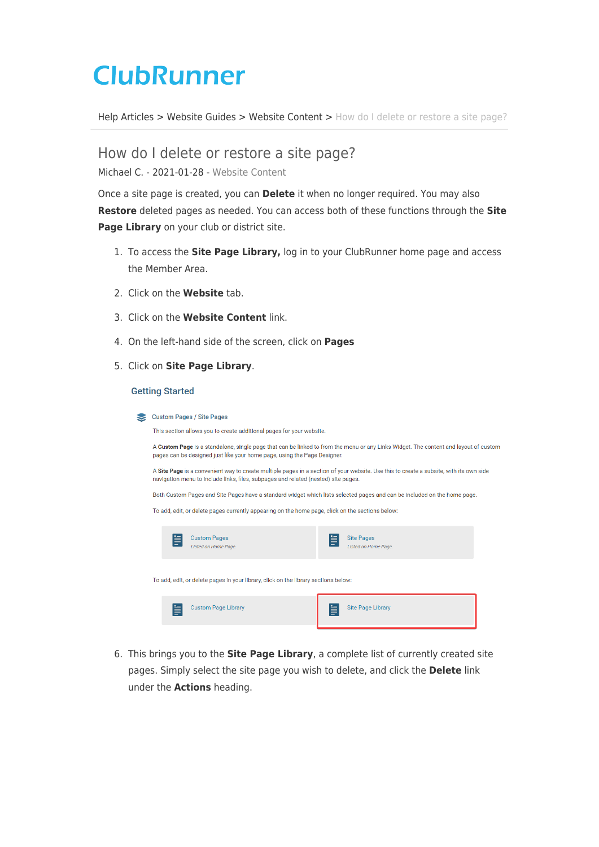# **ClubRunner**

[Help Articles](https://www.clubrunnersupport.com/kb) > [Website Guides](https://www.clubrunnersupport.com/kb/website-guides) > [Website Content](https://www.clubrunnersupport.com/kb/website-content) > [How do I delete or restore a site page?](https://www.clubrunnersupport.com/kb/articles/how-do-i-delete-or-restore-a-site-page)

How do I delete or restore a site page?

Michael C. - 2021-01-28 - [Website Content](https://www.clubrunnersupport.com/kb/website-content)

Once a site page is created, you can **Delete** it when no longer required. You may also **Restore** deleted pages as needed. You can access both of these functions through the **Site Page Library** on your club or district site.

- 1. To access the **Site Page Library,** log in to your ClubRunner home page and access the Member Area.
- 2. Click on the **Website** tab.
- 3. Click on the **Website Content** link.
- 4. On the left-hand side of the screen, click on **Pages**
- 5. Click on **Site Page Library**.

#### **Getting Started**

| Custom Pages / Site Pages |  |
|---------------------------|--|
|                           |  |

This section allows you to create additional pages for your website.

A Custom Page is a standalone, single page that can be linked to from the menu or any Links Widget. The content and layout of custom pages can be designed just like your home page, using the Page Designer.

A Site Page is a convenient way to create multiple pages in a section of your website. Use this to create a subsite, with its own side navigation menu to include links, files, subpages and related (nested) site pages.

Both Custom Pages and Site Pages have a standard widget which lists selected pages and can be included on the home page.

To add, edit, or delete pages currently appearing on the home page, click on the sections below:

| ≣  | <b>Custom Pages</b><br>Listed on Home Page.                                         | ≣ | <b>Site Pages</b><br>Listed on Home Page. |
|----|-------------------------------------------------------------------------------------|---|-------------------------------------------|
|    | To add, edit, or delete pages in your library, click on the library sections below: |   |                                           |
| l≣ | <b>Custom Page Library</b>                                                          | ≣ | <b>Site Page Library</b>                  |

6. This brings you to the **Site Page Library**, a complete list of currently created site pages. Simply select the site page you wish to delete, and click the **Delete** link under the **Actions** heading.